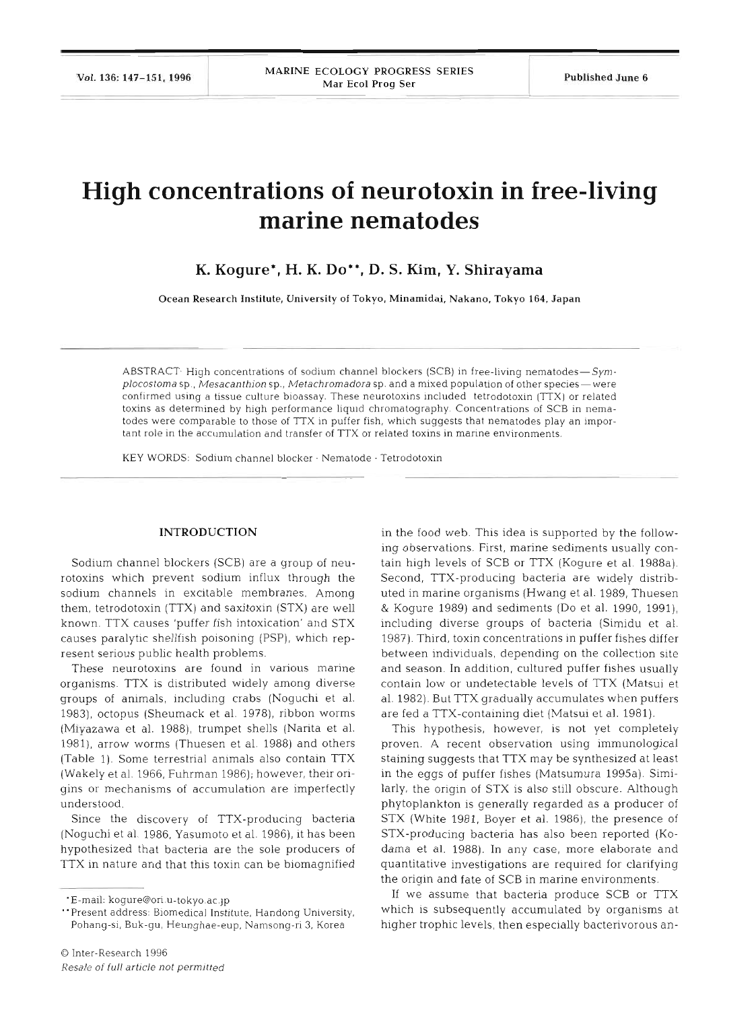# **High concentrations of neurotoxin in free-living marine nematodes**

**K. Kogure\*, H. K. Do", D. S. Kim, Y. Shirayama** 

Ocean Research Institute, University of Tokyo, Minamidai, Nakano, Tokyo 164, Japan

ABSTRACT<sup>.</sup> High concentrations of sodium channel blockers (SCB) in free-living nematodes- $Sym$ *plocostoma* sp., Mesacanthion sp., Metachromadora sp. and a mixed population of other species—were confirmed using a tissue culture bioassay. These neurotoxins included tetrodotoxin (TTX) or related toxins as determined by high performance liquld chromatography. Concentrations of SCB in nematodes were comparable to those of TTX in puffer fish, which suggests that nematodes play an important role in the accumulation and transfer of TTX or related toxins in marine environments.

KEY WORDS: Sodium channel blocker · Nematode · Tetrodotoxin

#### INTRODUCTION

Sodium channel blockers (SCB) are a group of neurotoxins which prevent sodium influx through the sodium channels in excitable membranes. Among them, tetrodotoxin (TTX) and saxitoxin (STX) are well known. TTX causes 'puffer fish intoxication' and STX causes paralytic shellfish poisoning (PSP), which represent serious public health problems.

These neurotoxins are found in various marine organisms. TTX is distributed widely among diverse groups of anlmals, including crabs (Noguchi et al. 1983), octopus (Sheumack et al. 1978), ribbon worms (Miyazawa et al. 1988), trumpet shells (Narita et al. 1981), arrow worms (Thuesen et al. 1988) and others (Table 1). Some terrestrial animals also contain TTX (Wakely et al. 1966, Fuhrman 1986); however, their origins or mechanisms of accumulation are imperfectly understood.

Since the discovery of TTX-producing bacteria (Noguchi et al. 1986, Yasumoto et al. 1986), it has been hypothesized that bacteria are the sole producers of TTX in nature and that this toxin can be biomagnified

in the food web. This idea is supported by the following observations. First, marine sediments usually contain high levels of SCB or TTX (Kogure et al. 1988a). Second, TTX-producing bacteria are widely distributed in marine organisms (Hwang et al. 1989, Thuesen & Kogure 1989) and sediments (Do et al. 1990, 1991), including diverse groups of bacteria (Simidu et al. 1987). Third, toxin concentrations in puffer fishes differ between individuals, depending on the collection site and season. In addition, cultured puffer fishes usually contain low or undetectable levels of TTX (Matsui et al. 1982). But TTX gradually accumulates when puffers are fed a TTX-containing diet (Matsui et al. 1981).

This hypothesis, however, is not yet completely proven. A recent observation using immunological staining suggests that TTX may be synthesized at least in the eggs of puffer fishes (Matsumura 1995a). Similarly, the origin of STX is also still obscure. Although phytoplankton is generally regarded as a producer of STX (White 1981, Boyer et al. 1986), the presence of STX-producing bacteria has also been reported (Kodama et al. 1988). In any case, more elaborate and quantitative investigations are required for clarifying the oriqin and fate of SCB in marine environments.

If we assume that bacteria produce SCB or TTX which is subsequently accumulated by organisms at higher trophic levels, then especially bacterivorous an-

<sup>&#</sup>x27;E-mail: kogure@ori.u-tokyo.ac.jp

<sup>&</sup>quot;Present address: Biomedical Institute, Handong University, Pohang-si, Buk-gu, Heunghae-eup, Namsong-ri *3,* Korea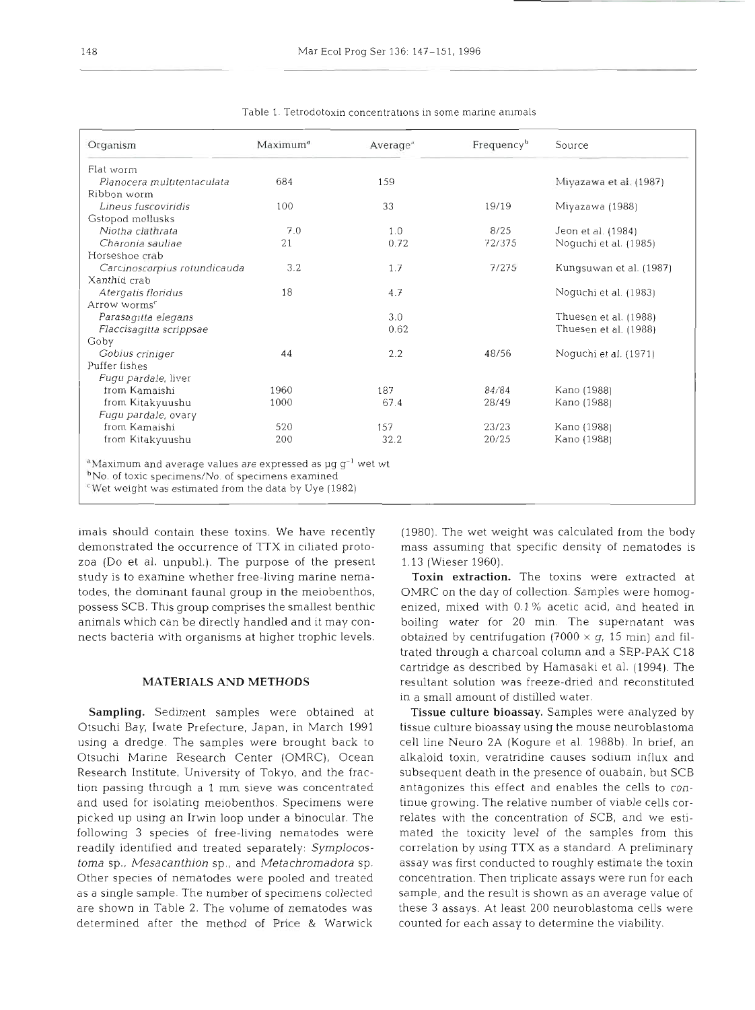| Organism                     | Maximum <sup>d</sup> | Average <sup>®</sup> | Frequency <sup>b</sup> | Source                  |
|------------------------------|----------------------|----------------------|------------------------|-------------------------|
| Flat worm                    |                      |                      |                        |                         |
| Planocera multitentaculata   | 684                  | 159                  |                        | Miyazawa et al. (1987)  |
| Ribbon worm                  |                      |                      |                        |                         |
| Lineus fuscoviridis          | 100                  | 33                   | 19/19                  | Miyazawa (1988)         |
| Gstopod mollusks             |                      |                      |                        |                         |
| Niotha clathrata             | 7.0                  | 1.0                  | 8/25                   | Jeon et al. (1984)      |
| Charonia sauliae             | 21                   | 0.72                 | 72/375                 | Noquchi et al. (1985)   |
| Horseshoe crab               |                      |                      |                        |                         |
| Carcinoscorpius rotundicauda | 3.2                  | 1.7                  | 7/275                  | Kungsuwan et al. (1987) |
| Xanthid crab                 |                      |                      |                        |                         |
| Atergatis floridus           | 18                   | 4.7                  |                        | Noguchi et al. (1983)   |
| Arrow worms <sup>c</sup>     |                      |                      |                        |                         |
| Parasagitta elegans          |                      | 3.0                  |                        | Thuesen et al. (1988)   |
| Flaccisagitta scrippsae      |                      | 0.62                 |                        | Thuesen et al. (1988)   |
| Goby                         |                      |                      |                        |                         |
| Gobius criniger              | 44                   | 2.2                  | 48/56                  | Noguchi et al. (1971)   |
| Puffer fishes                |                      |                      |                        |                         |
| Fugu pardale, liver          |                      |                      |                        |                         |
| trom Kamaishi                | 1960                 | 187                  | 84/84                  | Kano (1988)             |
| from Kitakyuushu             | 1000                 | 67.4                 | 28/49                  | Kano (1988)             |
|                              |                      |                      |                        |                         |
| Fugu pardale, ovary          |                      |                      | 23/23                  | Kano (1988)             |
| from Kamaishi                | 520                  | 157                  |                        |                         |

Table 1. Tetrodotoxin concentrations in some marine animals

imals should contain these toxins. We have recently demonstrated the occurrence of TTX in ciliated protozoa (Do et al. unpubl.). The purpose of the present study is to examine whether free-living marine nematodes, the dominant fauna1 group in the meiobenthos, possess SCB. This group comprises the smallest benthic animals which can be directly handled and it may connects bacteria with organisms at higher trophic levels.

### **MATERIALS AND METHODS**

Sampling. Sediment samples were obtained at Otsuchi Bay, Iwate Prefecture, Japan, in March 1991 using a dredge. The samples were brought back to Otsuchi Marine Research Center (OMRC), Ocean Research Institute, University of Tokyo, and the fraction passing through a l mm sieve was concentrated and used for isolating meiobenthos. Specimens were picked up using an Irwin loop under a binocular. The following **3** species of free-living nematodes were readily identified and treated separately: *Symplocos*toma sp., *Mesacan thion* sp., and *Metachromadora* sp. Other species of nematodes were pooled and treated as a single sample. The number of specimens collected are shown in Table 2. The volume of nematodes was determined after the method of **Price** & Warwick

(1980). The wet weight was calculated from the body mass assuming that specific density of nematodes is 1.13 (Wieser 1960).

Toxin extraction. The toxins were extracted at OMRC on the day of collection. Samples were homogenized, mixed with 0.1 % acetic acid, and heated in boiling water for 20 min. The supernatant was obtained by centrifugation (7000  $\times$  g, 15 min) and filtrated through a charcoal column and a SEP-PAK C18 cartridge as described by Hamasaki et al. (1994). The resultant solution was freeze-dned and reconstituted in a small amount of distilled water.

Tissue culture bioassay. Samples were analyzed by tissue culture bioassay using the mouse neuroblastoma cell line Neuro 2A (Kogure et al. 1988b). In brief, an alkaloid toxin, veratridine causes sodium influx and subsequent death in the presence of ouabain, but SCB antagonizes this effect and enables the cells to continue growing. The relative number of viable cells correlates with the concentration of SCB, and we estimated the toxicity level of the samples from this correlation by using TTX as a standard. A preliminary assay was first conducted to roughly estimate the toxin concentration. Then triplicate assays were run for each sample, and the result is shown as an average value of these **3** assays. At least 200 neuroblastoma cells were counted for each assay to determine the viability.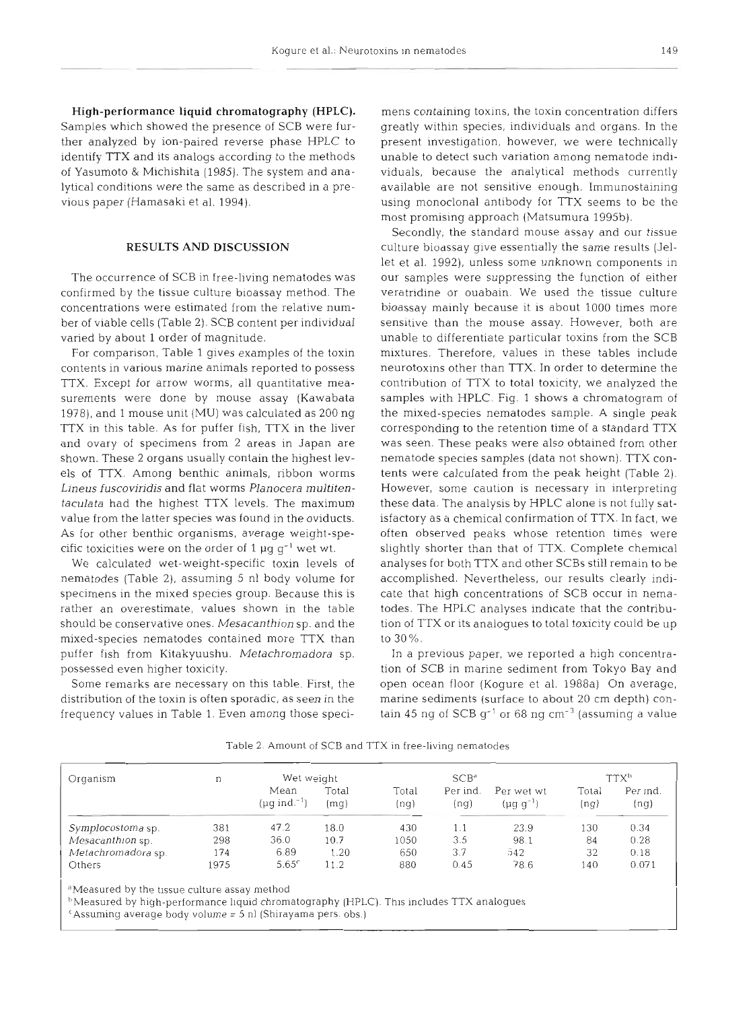High-performance liquid chromatography (HPLC). Samples which showed the presence of SCB were further analyzed by ion-paired reverse phase HPLC to identify TTX and its analogs according to the methods of Yasumoto & Michishita (1985). The system and analytical conditions were the same as described in a previous paper (Hamasaki et al. 1994).

## **RESULTS AND DISCUSSION**

The occurrence of SCB in free-living nematodes was confirmed by the tissue culture bioassay method. The concentrations were estimated from the relative number of viable cells (Table 2). SCB content per individual varied by about 1 order of magnitude.

For comparison, Table 1 gives examples of the toxin contents in various marine animals reported to possess TTX. Except for arrow worms, all quantitative measurements were done by mouse assay (Kawabata 1978), and 1 mouse unit (MU) was calculated as 200 ng TTX in this table. As for puffer fish, TTX in the liver and ovary of specimens from 2 areas in Japan are shown. These 2 organs usually contain the highest levels of TTX. Among benthic animals, ribbon worms Lineus fuscoviridis and flat worms Planocera multitentaculata had the highest TTX levels. The maximum value from the latter species was found in the oviducts. As for other benthic organisms, average weight-specific toxicities were on the order of 1  $\mu$ g g<sup>-1</sup> wet wt.

We calculated wet-weight-specific toxin levels of nematodes (Table 2), assuming 5 nl body volume for specimens in the mixed species group. Because this is rather an overestimate, values shown in the table should be conservative ones. Mesacanthion sp. and the mixed-species nematodes contained more TTX than puffer fish from Kitakyuushu. Metachromadora sp. possessed even higher toxicity.

Some remarks are necessary on this table. First, the distribution of the toxin is often sporadic, as seen in the frequency values in Table 1. Even among those specimens containing toxins, the toxin concentration differs greatly within species, individuals and organs. In the present investigation, however, we were technically unable to detect such variation among nematode individuals, because the analytical methods currently available are not sensitive enough. lmmunostaining using monoclonal antibody for TTX seems to be the most promising approach (Matsumura 1995b).

Secondly, the standard mouse assay and our tissue culture bioassay give essentially the same results (Jellet et al. 1992), unless some unknown components in our samples were suppressing the function of either veratridine or ouabain. We used the tissue culture bioassay mainly because it is about 1000 times more sensitive than the mouse assay. However, both are unable to differentiate particular toxins from the SCB mixtures. Therefore, values in these tables include neurotoxins other than TTX. In order to determine the contribution of TTX to total toxicity, we analyzed the samples with HPLC. Fig. 1 shows a chromatogram of the mixed-species nematodes sample. A single peak corresponding to the retention time of a standard TTX was seen. These peaks were also obtained from other nematode species samples (data not shown). TTX contents were calculated from the peak height (Table 2). However, some caution is necessary in interpreting these data. The analysis by HPLC alone is not fully satisfactory as a chemical confirmation of TTX. In fact, we often observed peaks whose retention times were slightly shorter than that of TTX. Complete chemical analyses for both TTX and other SCBs still remain to be accomplished. Nevertheless, our results clearly indicate that high concentrations of SCB occur in nematodes. The HPLC analyses indicate that the contribution of TTX or its analogues to total toxicity could be up to 30%.

In a previous paper, we reported a high concentration of SCB in marine sediment from Tokyo Bay and open ocean floor (Kogure et al. 1988a) On average, marine sediments (surface to about 20 cm depth) contain 45 ng of SCB  $g^{-1}$  or 68 ng cm<sup>-3</sup> (assuming a value

Table 2. Amount of SCB and TTX in free-living nematodes

| Organism           | n    | Wet weight                             |               | SCB <sup>d</sup> |                  |                                | <b>TTXb</b>   |                  |
|--------------------|------|----------------------------------------|---------------|------------------|------------------|--------------------------------|---------------|------------------|
|                    |      | Mean<br>( $\mu$ q ind. <sup>-1</sup> ) | Total<br>(mg) | Total<br>(nq)    | Per ind.<br>(ng) | Per wet wt<br>$(\mu g g^{-1})$ | Total<br>(ng) | Per ind.<br>(nq) |
| Symplocostoma sp.  | 381  | 47.2                                   | 18.0          | 430              | 1.1              | 23.9                           | 130           | 0.34             |
| Mesacanthion sp.   | 298  | 36.0                                   | 10.7          | 1050             | 3.5              | 98.1                           | 84            | 0.28             |
| Metachromadora sp. | 174  | 6.89                                   | 1.20          | 650              | 3.7              | 542                            | 32            | 0.18             |
| Others             | 1975 | 5.65 <sup>c</sup>                      | 11.2          | 880              | 0.45             | 78.6                           | 140           | 0.071            |

"Measured by the tissue culture assay method

<sup>b</sup>Measured by high-performance liquid chromatography (HPLC). This includes TTX analogues

'Assuminy average body volume = 5 nl (Shirayama pers. obs.)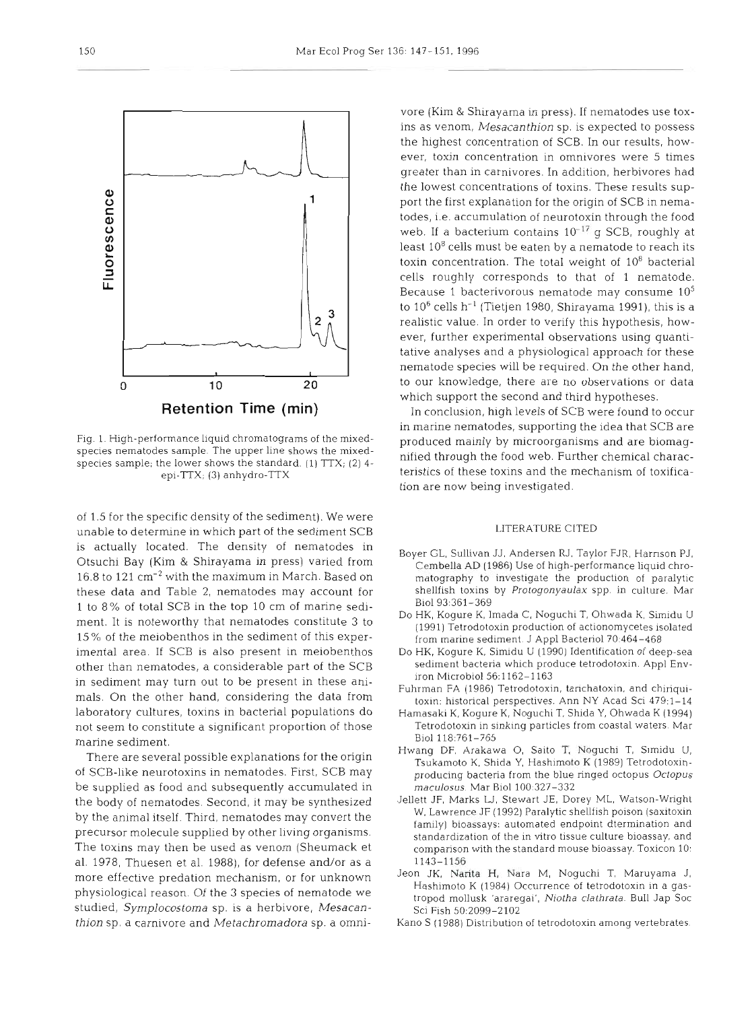species nematodes sample. The upper line shows the mixed-<br>consistent for the layer shows the standard (1)  $TTV$ , (2) 4 mified through the food web. Further chemical characspecies sample; the lower shows the standard. (1) TTX; (2) 4-<br>epi-TTX: (3) anhydro-TTX<br>teristics of these toxins and the mechanism of toxificaepi-TTX; (3) anhydro-TTX

of 1.5 for the specific density of the sediment). We were unable to determine in which part of the sediment SCB is actually located. The density of nematodes in<br>Boyer GL, Sullivan JJ, Andersen RJ, Taylor FJR, Harrison PJ, Otsuchi Bay (Kim & Shirayama in press) varied from 16.8 to 121 cm-2 with the maximum in March. Based on these data and Table 2, nematodes may account for 1 to 8% of total SCB in the top 10 cm of marine sedi-<br>Do HK, Kogure K, Imada C, Noguchi T, Ohwada K, Simidu U ment. It is noteworthy that nematodes constitute **3** to 15 % of the meiobenthos in the sediment of this experimental area. If SCB is also present in meiobenthos other than nematodes, a considerable part of the SCB in sediment may turn out to be present in these ani-<br>Fuhrman FA (1986) Tetrodotoxin, tarichatoxin, and chiriquimals. On the other hand, considering the data from laboratory cultures, toxins in bacterial populations do not seem to constitute a significant proportion of those marine sediment.

of SCB-like neurotoxins in nematodes. First, SCB may be supplied as food and subsequently accumulated in the body of nematodes. Second, it may be synthesized Jellett JF, Marks LJ, Stewart JE, Dorey ML, Watson-Wright by the animal itself. Third, nematodes may convert the precursor molecule supplied by other living organisms. The toxins may then be used as venom (Sheumack et al. 1978, Thuesen et al. 1988), for defense and/or as a statistical and all information when the state and the<br>more effective predation mechanism or for unknown surface. Nearly Naria M, Naguchi, T, Maruyama J, more effective predation mechanism, or for unknown physiological reason. Of the **3** species of nematode we studied, *Symplocostorna* sp. is a herbivore, *Mesacanthion* sp, a carnivore and *Metachromadora* sp. a omni-

(Kinn & Shirayama in press). Il nematodes use tox-<br>is senorm. Mesacarathion sp. is expected to possess<br>is senorm. Mesacarathion sp. is expected to possess<br>in the contration in omnivores were 5 times<br>in the main carrier of

Fig. 1. High-performance liquid chromatograms of the mixed-produced mainly by microorganisms and are biomag-

- 
- 
- 
- 
- 
- There are several possible explanations for the origin Hwang DF, Arakawa O, Saito T, Noguchi T, Simidu U,
	-
	-
	-